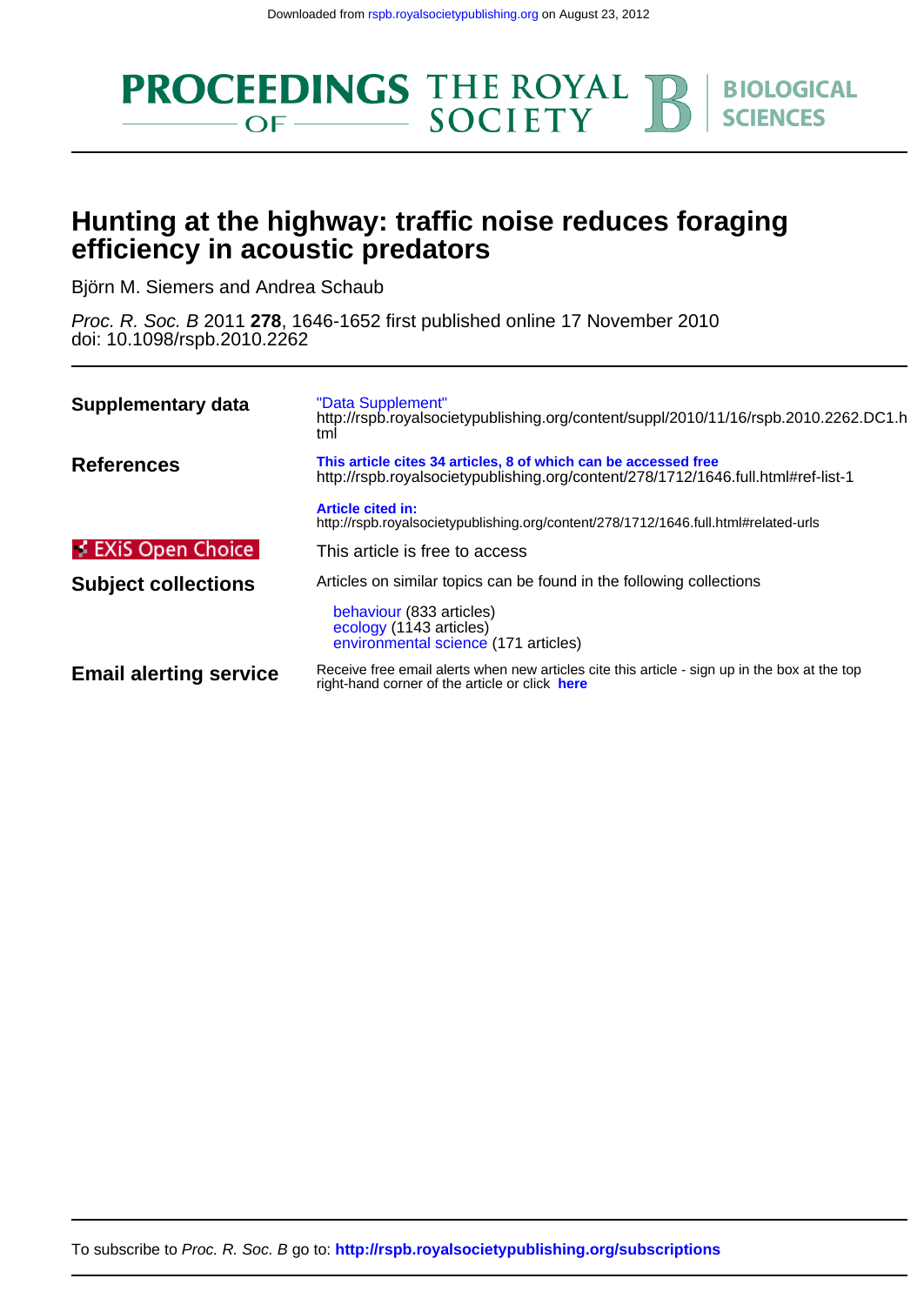

# **efficiency in acoustic predators Hunting at the highway: traffic noise reduces foraging**

Björn M. Siemers and Andrea Schaub

doi: 10.1098/rspb.2010.2262 Proc. R. Soc. B 2011 **278**, 1646-1652 first published online 17 November 2010

| Supplementary data            | "Data Supplement"<br>http://rspb.royalsocietypublishing.org/content/suppl/2010/11/16/rspb.2010.2262.DC1.h<br>tml                                     |
|-------------------------------|------------------------------------------------------------------------------------------------------------------------------------------------------|
| <b>References</b>             | This article cites 34 articles, 8 of which can be accessed free<br>http://rspb.royalsocietypublishing.org/content/278/1712/1646.full.html#ref-list-1 |
|                               | <b>Article cited in:</b><br>http://rspb.royalsocietypublishing.org/content/278/1712/1646.full.html#related-urls                                      |
| $\neq$ EXiS Open Choice       | This article is free to access                                                                                                                       |
| <b>Subject collections</b>    | Articles on similar topics can be found in the following collections                                                                                 |
|                               | behaviour (833 articles)<br>ecology (1143 articles)<br>environmental science (171 articles)                                                          |
| <b>Email alerting service</b> | Receive free email alerts when new articles cite this article - sign up in the box at the top<br>right-hand corner of the article or click here      |

To subscribe to Proc. R. Soc. B go to: **<http://rspb.royalsocietypublishing.org/subscriptions>**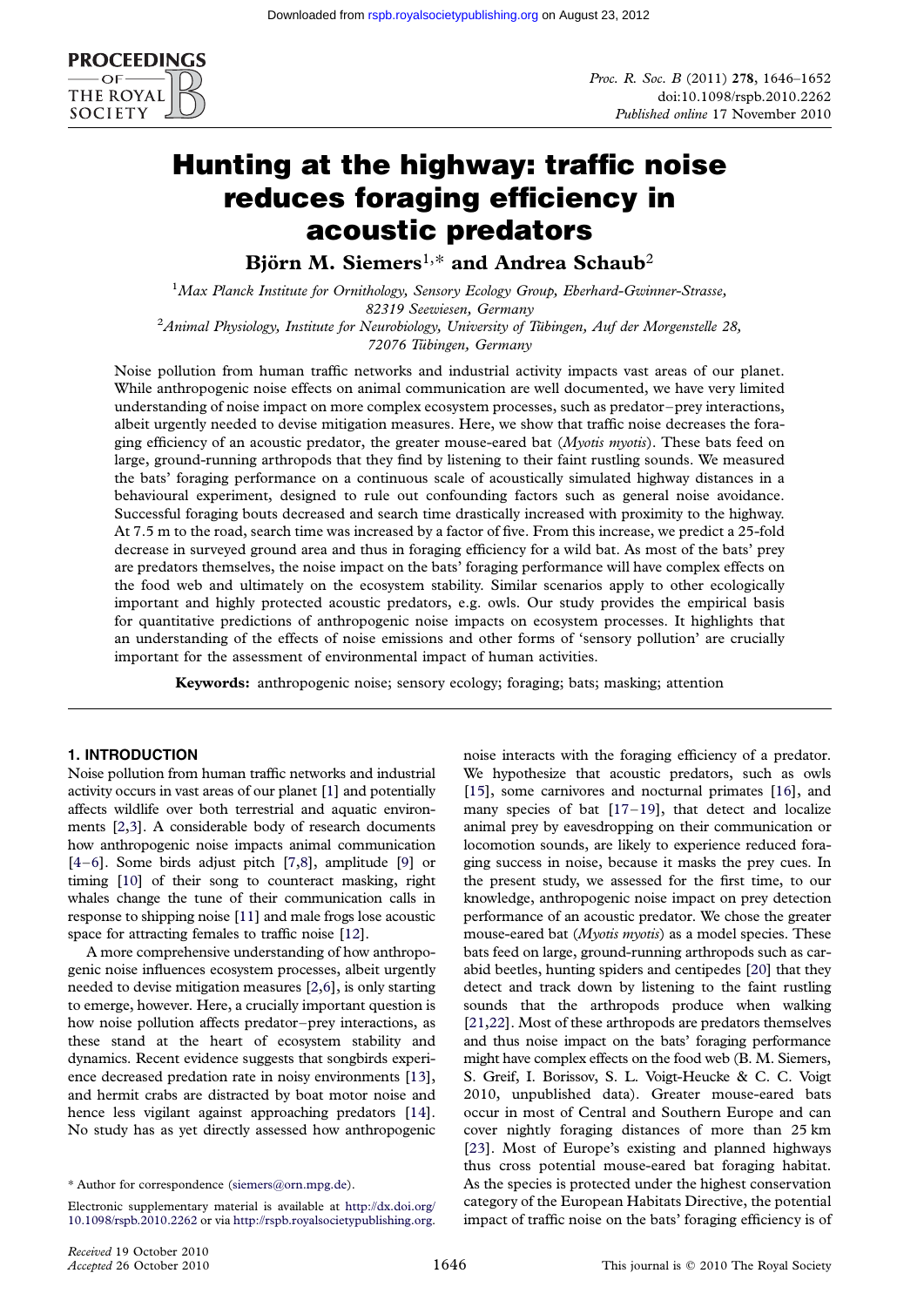

# Hunting at the highway: traffic noise reduces foraging efficiency in acoustic predators

Björn M. Siemers<sup>1,\*</sup> and Andrea Schaub<sup>2</sup>

<sup>1</sup>Max Planck Institute for Ornithology, Sensory Ecology Group, Eberhard-Gwinner-Strasse, 82319 Seewiesen, Germany<br>2Animal Physiology, Institute for Neurobiology, University of Tübingen, Auf der Morgenstelle 28,

72076 Tübingen, Germany

Noise pollution from human traffic networks and industrial activity impacts vast areas of our planet. While anthropogenic noise effects on animal communication are well documented, we have very limited understanding of noise impact on more complex ecosystem processes, such as predator –prey interactions, albeit urgently needed to devise mitigation measures. Here, we show that traffic noise decreases the foraging efficiency of an acoustic predator, the greater mouse-eared bat (Myotis myotis). These bats feed on large, ground-running arthropods that they find by listening to their faint rustling sounds. We measured the bats' foraging performance on a continuous scale of acoustically simulated highway distances in a behavioural experiment, designed to rule out confounding factors such as general noise avoidance. Successful foraging bouts decreased and search time drastically increased with proximity to the highway. At 7.5 m to the road, search time was increased by a factor of five. From this increase, we predict a 25-fold decrease in surveyed ground area and thus in foraging efficiency for a wild bat. As most of the bats' prey are predators themselves, the noise impact on the bats' foraging performance will have complex effects on the food web and ultimately on the ecosystem stability. Similar scenarios apply to other ecologically important and highly protected acoustic predators, e.g. owls. Our study provides the empirical basis for quantitative predictions of anthropogenic noise impacts on ecosystem processes. It highlights that an understanding of the effects of noise emissions and other forms of 'sensory pollution' are crucially important for the assessment of environmental impact of human activities.

Keywords: anthropogenic noise; sensory ecology; foraging; bats; masking; attention

# 1. INTRODUCTION

Noise pollution from human traffic networks and industrial activity occurs in vast areas of our planet [\[1](#page-6-0)] and potentially affects wildlife over both terrestrial and aquatic environments [[2,3](#page-6-0)]. A considerable body of research documents how anthropogenic noise impacts animal communication [\[4](#page-6-0)–[6\]](#page-6-0). Some birds adjust pitch [[7,8](#page-6-0)], amplitude [[9\]](#page-6-0) or timing [[10\]](#page-6-0) of their song to counteract masking, right whales change the tune of their communication calls in response to shipping noise [\[11](#page-6-0)] and male frogs lose acoustic space for attracting females to traffic noise [[12](#page-6-0)].

A more comprehensive understanding of how anthropogenic noise influences ecosystem processes, albeit urgently needed to devise mitigation measures [\[2,6](#page-6-0)], is only starting to emerge, however. Here, a crucially important question is how noise pollution affects predator–prey interactions, as these stand at the heart of ecosystem stability and dynamics. Recent evidence suggests that songbirds experience decreased predation rate in noisy environments [\[13\]](#page-6-0), and hermit crabs are distracted by boat motor noise and hence less vigilant against approaching predators [\[14\]](#page-6-0). No study has as yet directly assessed how anthropogenic noise interacts with the foraging efficiency of a predator. We hypothesize that acoustic predators, such as owls [\[15\]](#page-6-0), some carnivores and nocturnal primates [[16](#page-6-0)], and many species of bat  $[17-19]$  $[17-19]$  $[17-19]$  $[17-19]$ , that detect and localize animal prey by eavesdropping on their communication or locomotion sounds, are likely to experience reduced foraging success in noise, because it masks the prey cues. In the present study, we assessed for the first time, to our knowledge, anthropogenic noise impact on prey detection performance of an acoustic predator. We chose the greater mouse-eared bat (Myotis myotis) as a model species. These bats feed on large, ground-running arthropods such as carabid beetles, hunting spiders and centipedes [[20](#page-7-0)] that they detect and track down by listening to the faint rustling sounds that the arthropods produce when walking [\[21,22\]](#page-7-0). Most of these arthropods are predators themselves and thus noise impact on the bats' foraging performance might have complex effects on the food web (B. M. Siemers, S. Greif, I. Borissov, S. L. Voigt-Heucke & C. C. Voigt 2010, unpublished data). Greater mouse-eared bats occur in most of Central and Southern Europe and can cover nightly foraging distances of more than 25 km [\[23\]](#page-7-0). Most of Europe's existing and planned highways thus cross potential mouse-eared bat foraging habitat. As the species is protected under the highest conservation category of the European Habitats Directive, the potential impact of traffic noise on the bats' foraging efficiency is of

<sup>\*</sup> Author for correspondence ([siemers@orn.mpg.de\)](mailto:siemers@orn.mpg.de).

Electronic supplementary material is available at [http://dx.doi.org/](http://dx.doi.org/10.1098/rspb.2010.2262) [10.1098/rspb.2010.2262](http://dx.doi.org/10.1098/rspb.2010.2262) or via <http://rspb.royalsocietypublishing.org>.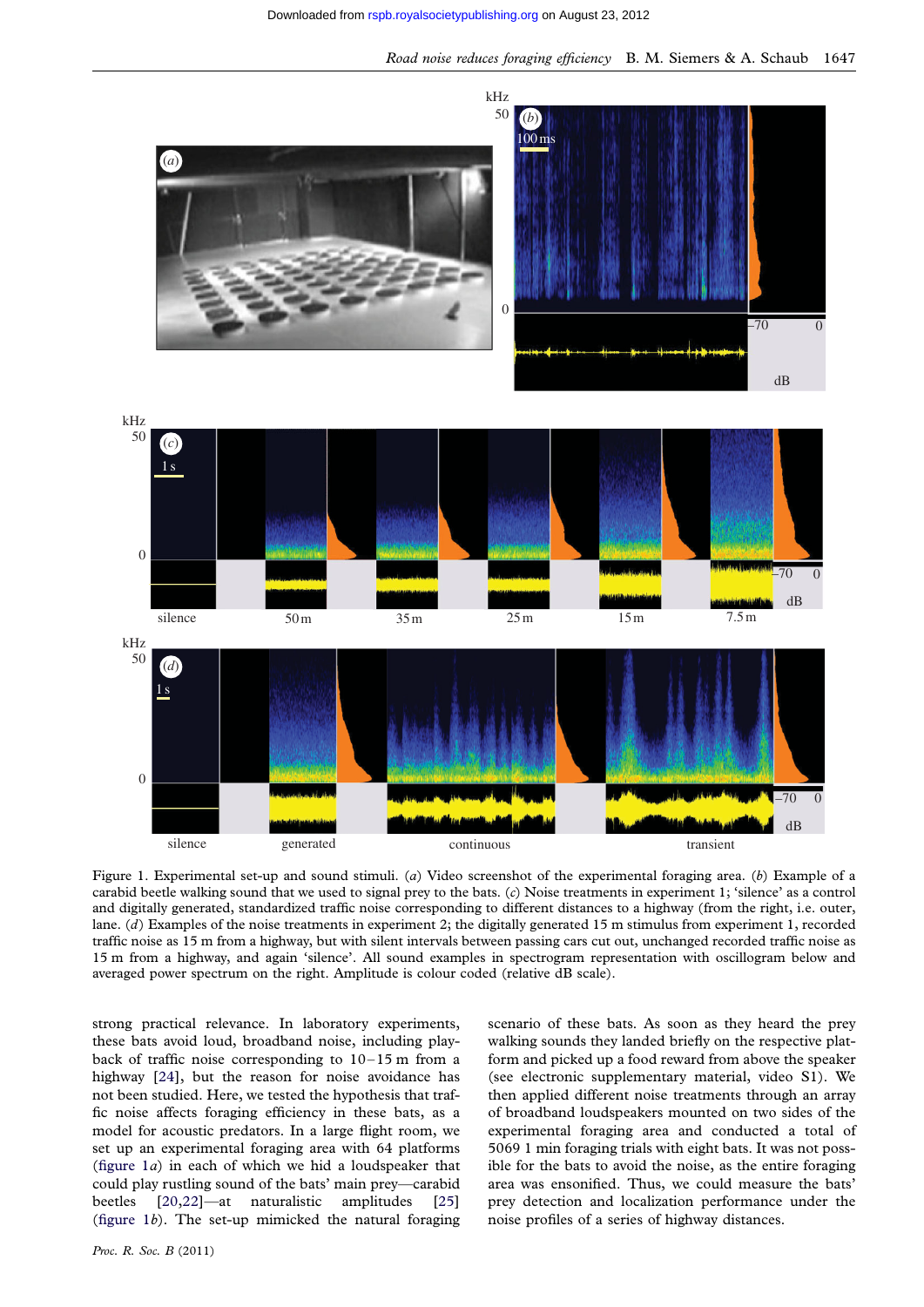<span id="page-2-0"></span>

Figure 1. Experimental set-up and sound stimuli. (a) Video screenshot of the experimental foraging area. (b) Example of a carabid beetle walking sound that we used to signal prey to the bats. (c) Noise treatments in experiment 1; 'silence' as a control and digitally generated, standardized traffic noise corresponding to different distances to a highway (from the right, i.e. outer, lane. (d) Examples of the noise treatments in experiment 2; the digitally generated 15 m stimulus from experiment 1, recorded traffic noise as 15 m from a highway, but with silent intervals between passing cars cut out, unchanged recorded traffic noise as 15 m from a highway, and again 'silence'. All sound examples in spectrogram representation with oscillogram below and averaged power spectrum on the right. Amplitude is colour coded (relative dB scale).

strong practical relevance. In laboratory experiments, these bats avoid loud, broadband noise, including playback of traffic noise corresponding to  $10-15$  m from a highway [\[24\]](#page-7-0), but the reason for noise avoidance has not been studied. Here, we tested the hypothesis that traffic noise affects foraging efficiency in these bats, as a model for acoustic predators. In a large flight room, we set up an experimental foraging area with 64 platforms (figure  $1a$ ) in each of which we hid a loudspeaker that could play rustling sound of the bats' main prey—carabid beetles [\[20,22](#page-7-0)]—at naturalistic amplitudes [\[25\]](#page-7-0) (figure  $1b$ ). The set-up mimicked the natural foraging

Proc. R. Soc. B (2011)

scenario of these bats. As soon as they heard the prey walking sounds they landed briefly on the respective platform and picked up a food reward from above the speaker (see electronic supplementary material, video S1). We then applied different noise treatments through an array of broadband loudspeakers mounted on two sides of the experimental foraging area and conducted a total of 5069 1 min foraging trials with eight bats. It was not possible for the bats to avoid the noise, as the entire foraging area was ensonified. Thus, we could measure the bats' prey detection and localization performance under the noise profiles of a series of highway distances.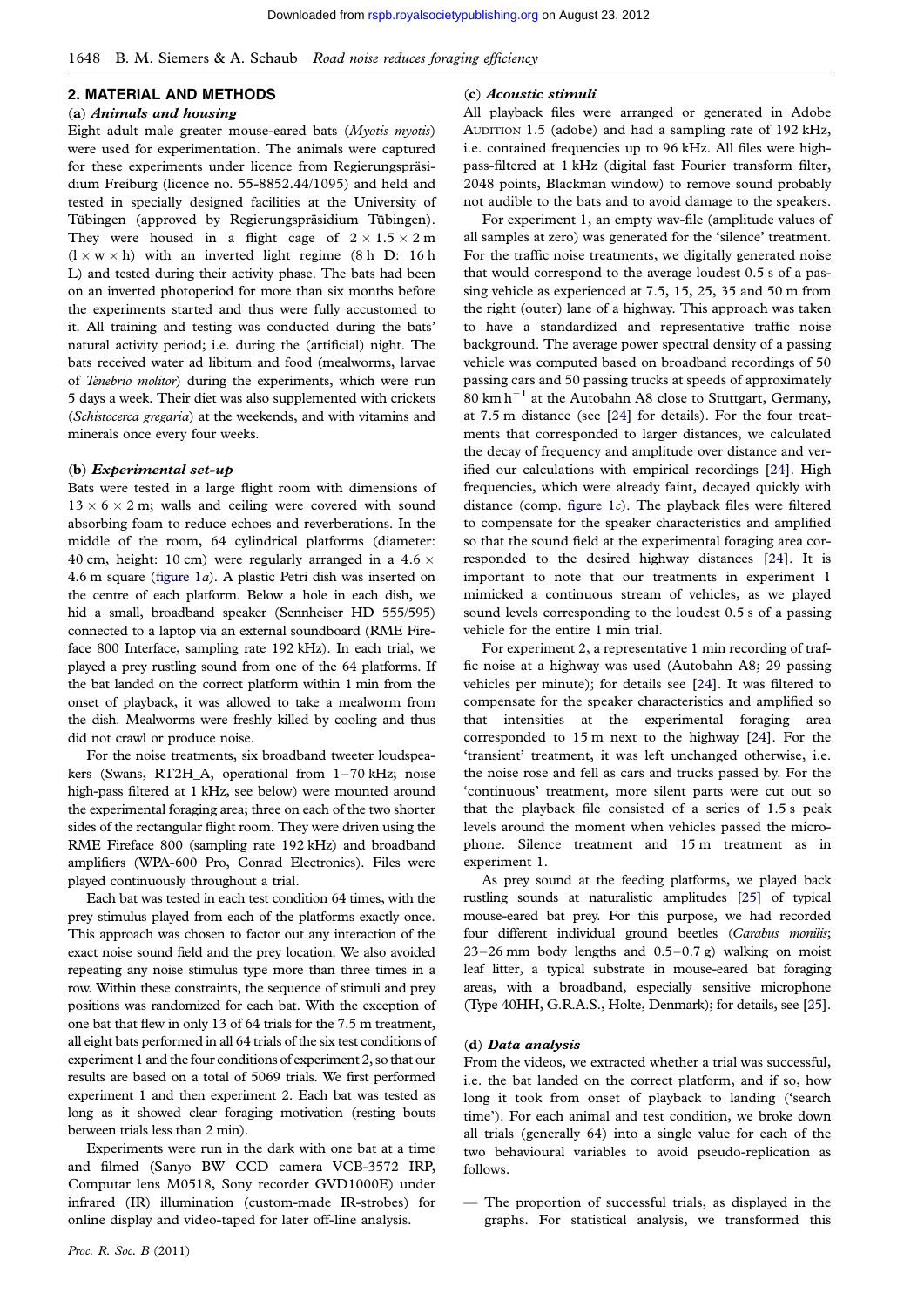## 2. MATERIAL AND METHODS

#### (a) Animals and housing

Eight adult male greater mouse-eared bats (Myotis myotis) were used for experimentation. The animals were captured for these experiments under licence from Regierungspräsidium Freiburg (licence no. 55-8852.44/1095) and held and tested in specially designed facilities at the University of Tübingen (approved by Regierungspräsidium Tübingen). They were housed in a flight cage of  $2 \times 1.5 \times 2$  m  $(l \times w \times h)$  with an inverted light regime (8 h D: 16 h L) and tested during their activity phase. The bats had been on an inverted photoperiod for more than six months before the experiments started and thus were fully accustomed to it. All training and testing was conducted during the bats' natural activity period; i.e. during the (artificial) night. The bats received water ad libitum and food (mealworms, larvae of Tenebrio molitor) during the experiments, which were run 5 days a week. Their diet was also supplemented with crickets (Schistocerca gregaria) at the weekends, and with vitamins and minerals once every four weeks.

#### (b) Experimental set-up

Bats were tested in a large flight room with dimensions of  $13 \times 6 \times 2$  m; walls and ceiling were covered with sound absorbing foam to reduce echoes and reverberations. In the middle of the room, 64 cylindrical platforms (diameter: 40 cm, height: 10 cm) were regularly arranged in a 4.6  $\times$ 4.6 m square [\(figure 1](#page-2-0)a). A plastic Petri dish was inserted on the centre of each platform. Below a hole in each dish, we hid a small, broadband speaker (Sennheiser HD 555/595) connected to a laptop via an external soundboard (RME Fireface 800 Interface, sampling rate 192 kHz). In each trial, we played a prey rustling sound from one of the 64 platforms. If the bat landed on the correct platform within 1 min from the onset of playback, it was allowed to take a mealworm from the dish. Mealworms were freshly killed by cooling and thus did not crawl or produce noise.

For the noise treatments, six broadband tweeter loudspeakers (Swans, RT2H\_A, operational from 1–70 kHz; noise high-pass filtered at 1 kHz, see below) were mounted around the experimental foraging area; three on each of the two shorter sides of the rectangular flight room. They were driven using the RME Fireface 800 (sampling rate 192 kHz) and broadband amplifiers (WPA-600 Pro, Conrad Electronics). Files were played continuously throughout a trial.

Each bat was tested in each test condition 64 times, with the prey stimulus played from each of the platforms exactly once. This approach was chosen to factor out any interaction of the exact noise sound field and the prey location. We also avoided repeating any noise stimulus type more than three times in a row. Within these constraints, the sequence of stimuli and prey positions was randomized for each bat. With the exception of one bat that flew in only 13 of 64 trials for the 7.5 m treatment, all eight bats performed in all 64 trials of the six test conditions of experiment 1 and the four conditions of experiment 2, so that our results are based on a total of 5069 trials. We first performed experiment 1 and then experiment 2. Each bat was tested as long as it showed clear foraging motivation (resting bouts between trials less than 2 min).

Experiments were run in the dark with one bat at a time and filmed (Sanyo BW CCD camera VCB-3572 IRP, Computar lens M0518, Sony recorder GVD1000E) under infrared (IR) illumination (custom-made IR-strobes) for online display and video-taped for later off-line analysis.

### (c) Acoustic stimuli

All playback files were arranged or generated in Adobe AUDITION 1.5 (adobe) and had a sampling rate of 192 kHz, i.e. contained frequencies up to 96 kHz. All files were highpass-filtered at 1 kHz (digital fast Fourier transform filter, 2048 points, Blackman window) to remove sound probably not audible to the bats and to avoid damage to the speakers.

For experiment 1, an empty wav-file (amplitude values of all samples at zero) was generated for the 'silence' treatment. For the traffic noise treatments, we digitally generated noise that would correspond to the average loudest 0.5 s of a passing vehicle as experienced at 7.5, 15, 25, 35 and 50 m from the right (outer) lane of a highway. This approach was taken to have a standardized and representative traffic noise background. The average power spectral density of a passing vehicle was computed based on broadband recordings of 50 passing cars and 50 passing trucks at speeds of approximately  $80 \text{ km h}^{-1}$  at the Autobahn A8 close to Stuttgart, Germany, at 7.5 m distance (see [\[24](#page-7-0)] for details). For the four treatments that corresponded to larger distances, we calculated the decay of frequency and amplitude over distance and verified our calculations with empirical recordings [\[24](#page-7-0)]. High frequencies, which were already faint, decayed quickly with distance (comp. figure  $1c$ ). The playback files were filtered to compensate for the speaker characteristics and amplified so that the sound field at the experimental foraging area corresponded to the desired highway distances [\[24](#page-7-0)]. It is important to note that our treatments in experiment 1 mimicked a continuous stream of vehicles, as we played sound levels corresponding to the loudest 0.5 s of a passing vehicle for the entire 1 min trial.

For experiment 2, a representative 1 min recording of traffic noise at a highway was used (Autobahn A8; 29 passing vehicles per minute); for details see [\[24](#page-7-0)]. It was filtered to compensate for the speaker characteristics and amplified so that intensities at the experimental foraging area corresponded to 15 m next to the highway [\[24](#page-7-0)]. For the 'transient' treatment, it was left unchanged otherwise, i.e. the noise rose and fell as cars and trucks passed by. For the 'continuous' treatment, more silent parts were cut out so that the playback file consisted of a series of 1.5 s peak levels around the moment when vehicles passed the microphone. Silence treatment and 15 m treatment as in experiment 1.

As prey sound at the feeding platforms, we played back rustling sounds at naturalistic amplitudes [\[25\]](#page-7-0) of typical mouse-eared bat prey. For this purpose, we had recorded four different individual ground beetles (Carabus monilis; 23–26 mm body lengths and  $0.5-0.7$  g) walking on moist leaf litter, a typical substrate in mouse-eared bat foraging areas, with a broadband, especially sensitive microphone (Type 40HH, G.R.A.S., Holte, Denmark); for details, see [\[25\]](#page-7-0).

#### (d) Data analysis

From the videos, we extracted whether a trial was successful, i.e. the bat landed on the correct platform, and if so, how long it took from onset of playback to landing ('search time'). For each animal and test condition, we broke down all trials (generally 64) into a single value for each of the two behavioural variables to avoid pseudo-replication as follows.

— The proportion of successful trials, as displayed in the graphs. For statistical analysis, we transformed this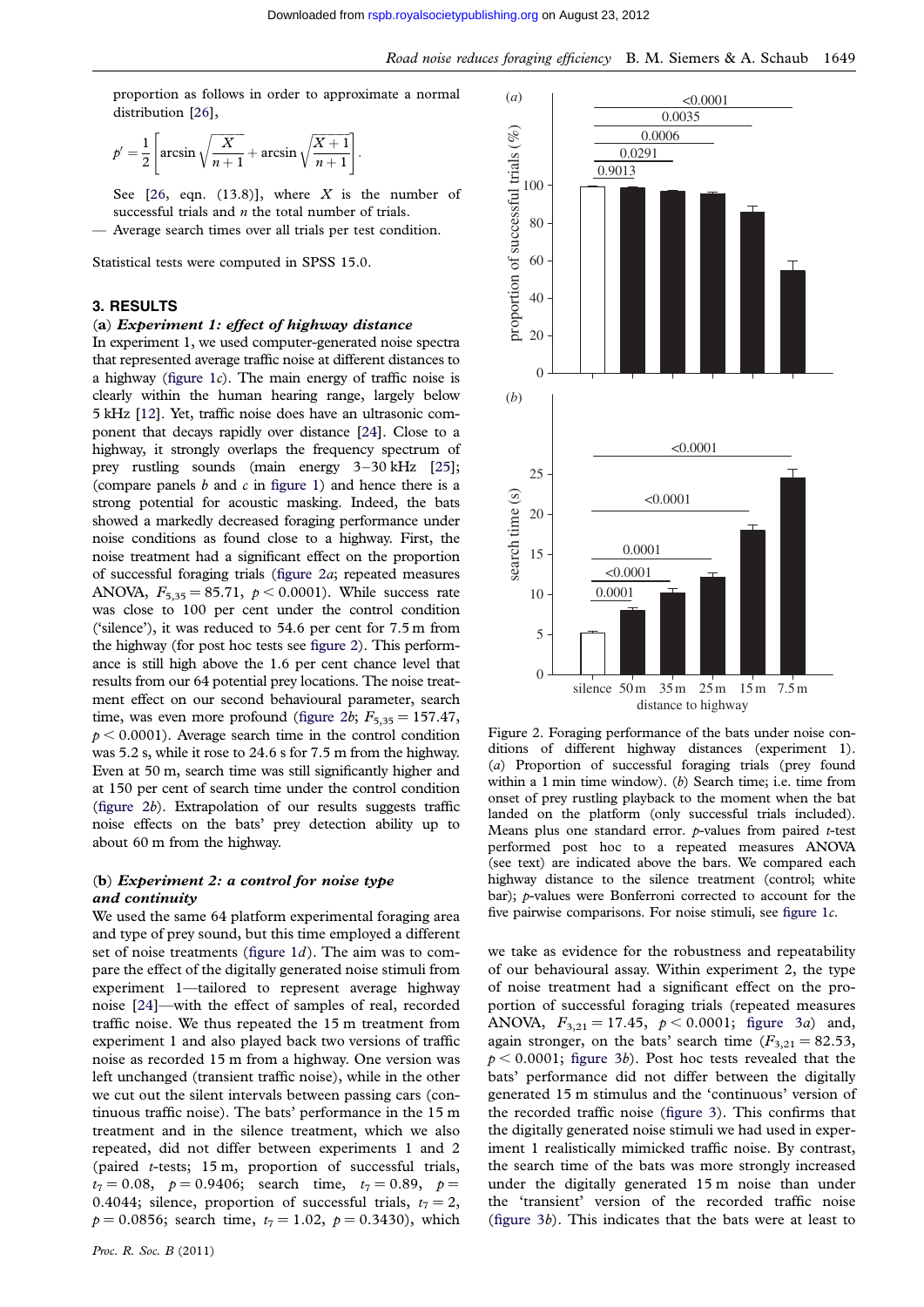proportion as follows in order to approximate a normal distribution [\[26\]](#page-7-0),

$$
p' = \frac{1}{2} \left[ \arcsin \sqrt{\frac{X}{n+1}} + \arcsin \sqrt{\frac{X+1}{n+1}} \right].
$$

See  $[26, eqn. (13.8)], where X is the number of$  $[26, eqn. (13.8)], where X is the number of$  $[26, eqn. (13.8)], where X is the number of$ successful trials and  $n$  the total number of trials.

— Average search times over all trials per test condition.

Statistical tests were computed in SPSS 15.0.

## 3. RESULTS

## (a) Experiment 1: effect of highway distance

In experiment 1, we used computer-generated noise spectra that represented average traffic noise at different distances to a highway (figure  $1c$ ). The main energy of traffic noise is clearly within the human hearing range, largely below 5 kHz [\[12](#page-6-0)]. Yet, traffic noise does have an ultrasonic component that decays rapidly over distance [\[24](#page-7-0)]. Close to a highway, it strongly overlaps the frequency spectrum of prey rustling sounds (main energy 3–30 kHz [\[25](#page-7-0)]; (compare panels  $b$  and  $c$  in [figure 1](#page-2-0)) and hence there is a strong potential for acoustic masking. Indeed, the bats showed a markedly decreased foraging performance under noise conditions as found close to a highway. First, the noise treatment had a significant effect on the proportion of successful foraging trials (figure 2a; repeated measures ANOVA,  $F_{5,35} = 85.71$ ,  $p < 0.0001$ ). While success rate was close to 100 per cent under the control condition ('silence'), it was reduced to 54.6 per cent for 7.5 m from the highway (for post hoc tests see figure 2). This performance is still high above the 1.6 per cent chance level that results from our 64 potential prey locations. The noise treatment effect on our second behavioural parameter, search time, was even more profound (figure 2b;  $F_{5,35} = 157.47$ ,  $p < 0.0001$ ). Average search time in the control condition was 5.2 s, while it rose to 24.6 s for 7.5 m from the highway. Even at 50 m, search time was still significantly higher and at 150 per cent of search time under the control condition (figure 2b). Extrapolation of our results suggests traffic noise effects on the bats' prey detection ability up to about 60 m from the highway.

## (b) Experiment 2: a control for noise type and continuity

We used the same 64 platform experimental foraging area and type of prey sound, but this time employed a different set of noise treatments (figure  $1d$ ). The aim was to compare the effect of the digitally generated noise stimuli from experiment 1—tailored to represent average highway noise [\[24\]](#page-7-0)—with the effect of samples of real, recorded traffic noise. We thus repeated the 15 m treatment from experiment 1 and also played back two versions of traffic noise as recorded 15 m from a highway. One version was left unchanged (transient traffic noise), while in the other we cut out the silent intervals between passing cars (continuous traffic noise). The bats' performance in the 15 m treatment and in the silence treatment, which we also repeated, did not differ between experiments 1 and 2 (paired t-tests; 15 m, proportion of successful trials,  $t_7 = 0.08$ ,  $p = 0.9406$ ; search time,  $t_7 = 0.89$ ,  $p =$ 0.4044; silence, proportion of successful trials,  $t_7 = 2$ ,  $p = 0.0856$ ; search time,  $t_7 = 1.02$ ,  $p = 0.3430$ ), which



Figure 2. Foraging performance of the bats under noise conditions of different highway distances (experiment 1). (a) Proportion of successful foraging trials (prey found within a 1 min time window). (b) Search time; i.e. time from onset of prey rustling playback to the moment when the bat landed on the platform (only successful trials included). Means plus one standard error.  $p$ -values from paired  $t$ -test performed post hoc to a repeated measures ANOVA (see text) are indicated above the bars. We compared each highway distance to the silence treatment (control; white bar); p-values were Bonferroni corrected to account for the five pairwise comparisons. For noise stimuli, see [figure 1](#page-2-0)c.

we take as evidence for the robustness and repeatability of our behavioural assay. Within experiment 2, the type of noise treatment had a significant effect on the proportion of successful foraging trials (repeated measures ANOVA,  $F_{3,21} = 17.45$ ,  $p < 0.0001$ ; [figure 3](#page-5-0)a) and, again stronger, on the bats' search time  $(F_{3,21} = 82.53)$ ,  $p < 0.0001$ ; [figure 3](#page-5-0)b). Post hoc tests revealed that the bats' performance did not differ between the digitally generated 15 m stimulus and the 'continuous' version of the recorded traffic noise ([figure 3\)](#page-5-0). This confirms that the digitally generated noise stimuli we had used in experiment 1 realistically mimicked traffic noise. By contrast, the search time of the bats was more strongly increased under the digitally generated 15 m noise than under the 'transient' version of the recorded traffic noise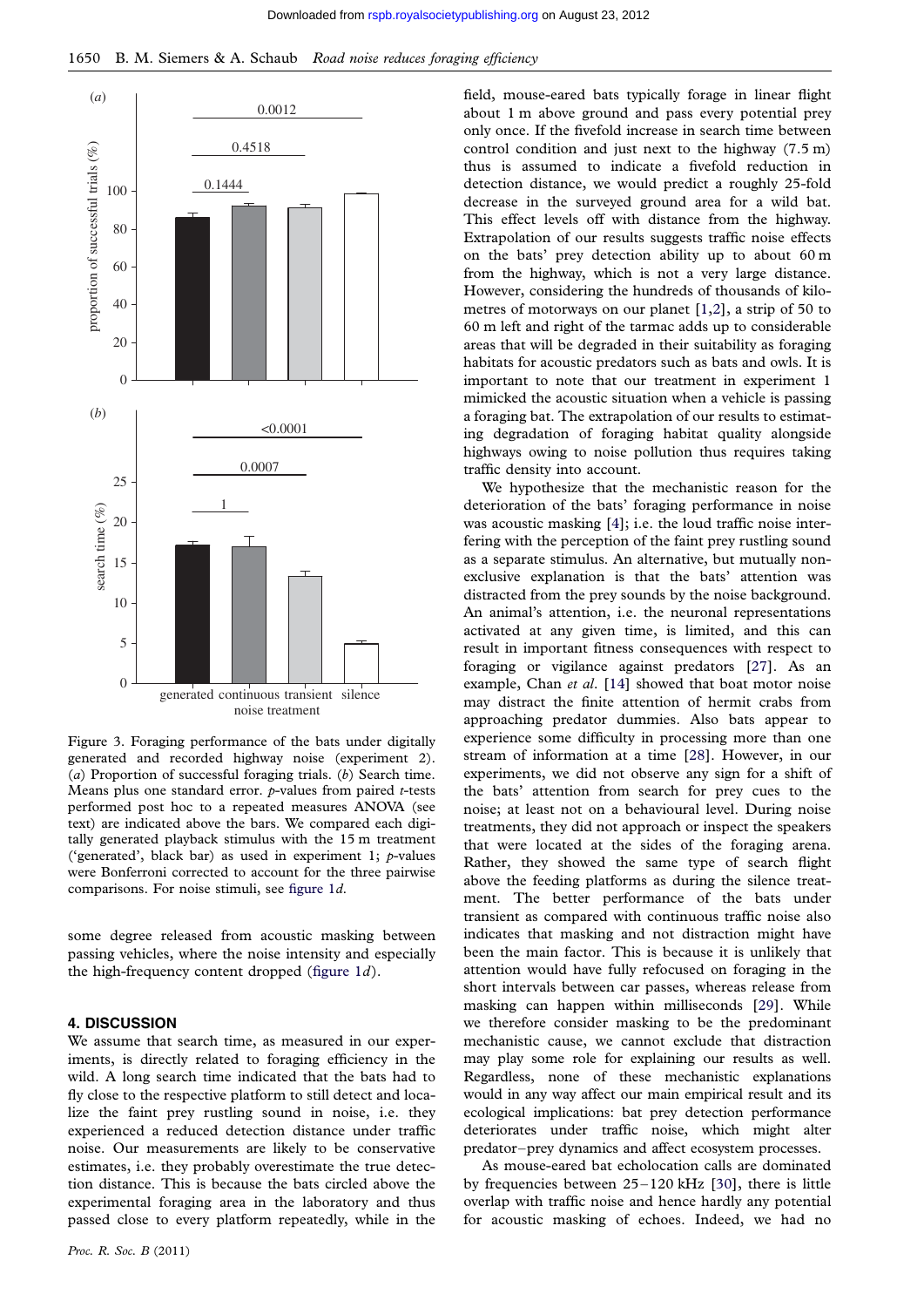<span id="page-5-0"></span>



Figure 3. Foraging performance of the bats under digitally generated and recorded highway noise (experiment 2). (a) Proportion of successful foraging trials. (b) Search time. Means plus one standard error.  $p$ -values from paired *t*-tests performed post hoc to a repeated measures ANOVA (see text) are indicated above the bars. We compared each digitally generated playback stimulus with the 15 m treatment ('generated', black bar) as used in experiment 1;  $p$ -values were Bonferroni corrected to account for the three pairwise comparisons. For noise stimuli, see [figure 1](#page-2-0)d.

some degree released from acoustic masking between passing vehicles, where the noise intensity and especially the high-frequency content dropped (figure  $1d$ ).

#### 4. DISCUSSION

We assume that search time, as measured in our experiments, is directly related to foraging efficiency in the wild. A long search time indicated that the bats had to fly close to the respective platform to still detect and localize the faint prey rustling sound in noise, i.e. they experienced a reduced detection distance under traffic noise. Our measurements are likely to be conservative estimates, i.e. they probably overestimate the true detection distance. This is because the bats circled above the experimental foraging area in the laboratory and thus passed close to every platform repeatedly, while in the

Proc. R. Soc. B (2011)

field, mouse-eared bats typically forage in linear flight about 1 m above ground and pass every potential prey only once. If the fivefold increase in search time between control condition and just next to the highway (7.5 m) thus is assumed to indicate a fivefold reduction in detection distance, we would predict a roughly 25-fold decrease in the surveyed ground area for a wild bat. This effect levels off with distance from the highway. Extrapolation of our results suggests traffic noise effects on the bats' prey detection ability up to about 60 m from the highway, which is not a very large distance. However, considering the hundreds of thousands of kilometres of motorways on our planet [\[1,2\]](#page-6-0), a strip of 50 to 60 m left and right of the tarmac adds up to considerable areas that will be degraded in their suitability as foraging habitats for acoustic predators such as bats and owls. It is important to note that our treatment in experiment 1 mimicked the acoustic situation when a vehicle is passing a foraging bat. The extrapolation of our results to estimating degradation of foraging habitat quality alongside highways owing to noise pollution thus requires taking traffic density into account.

We hypothesize that the mechanistic reason for the deterioration of the bats' foraging performance in noise was acoustic masking [\[4](#page-6-0)]; i.e. the loud traffic noise interfering with the perception of the faint prey rustling sound as a separate stimulus. An alternative, but mutually nonexclusive explanation is that the bats' attention was distracted from the prey sounds by the noise background. An animal's attention, i.e. the neuronal representations activated at any given time, is limited, and this can result in important fitness consequences with respect to foraging or vigilance against predators [\[27\]](#page-7-0). As an example, Chan et al. [\[14\]](#page-6-0) showed that boat motor noise may distract the finite attention of hermit crabs from approaching predator dummies. Also bats appear to experience some difficulty in processing more than one stream of information at a time [[28\]](#page-7-0). However, in our experiments, we did not observe any sign for a shift of the bats' attention from search for prey cues to the noise; at least not on a behavioural level. During noise treatments, they did not approach or inspect the speakers that were located at the sides of the foraging arena. Rather, they showed the same type of search flight above the feeding platforms as during the silence treatment. The better performance of the bats under transient as compared with continuous traffic noise also indicates that masking and not distraction might have been the main factor. This is because it is unlikely that attention would have fully refocused on foraging in the short intervals between car passes, whereas release from masking can happen within milliseconds [\[29\]](#page-7-0). While we therefore consider masking to be the predominant mechanistic cause, we cannot exclude that distraction may play some role for explaining our results as well. Regardless, none of these mechanistic explanations would in any way affect our main empirical result and its ecological implications: bat prey detection performance deteriorates under traffic noise, which might alter predator–prey dynamics and affect ecosystem processes.

As mouse-eared bat echolocation calls are dominated by frequencies between  $25-120$  kHz [\[30\]](#page-7-0), there is little overlap with traffic noise and hence hardly any potential for acoustic masking of echoes. Indeed, we had no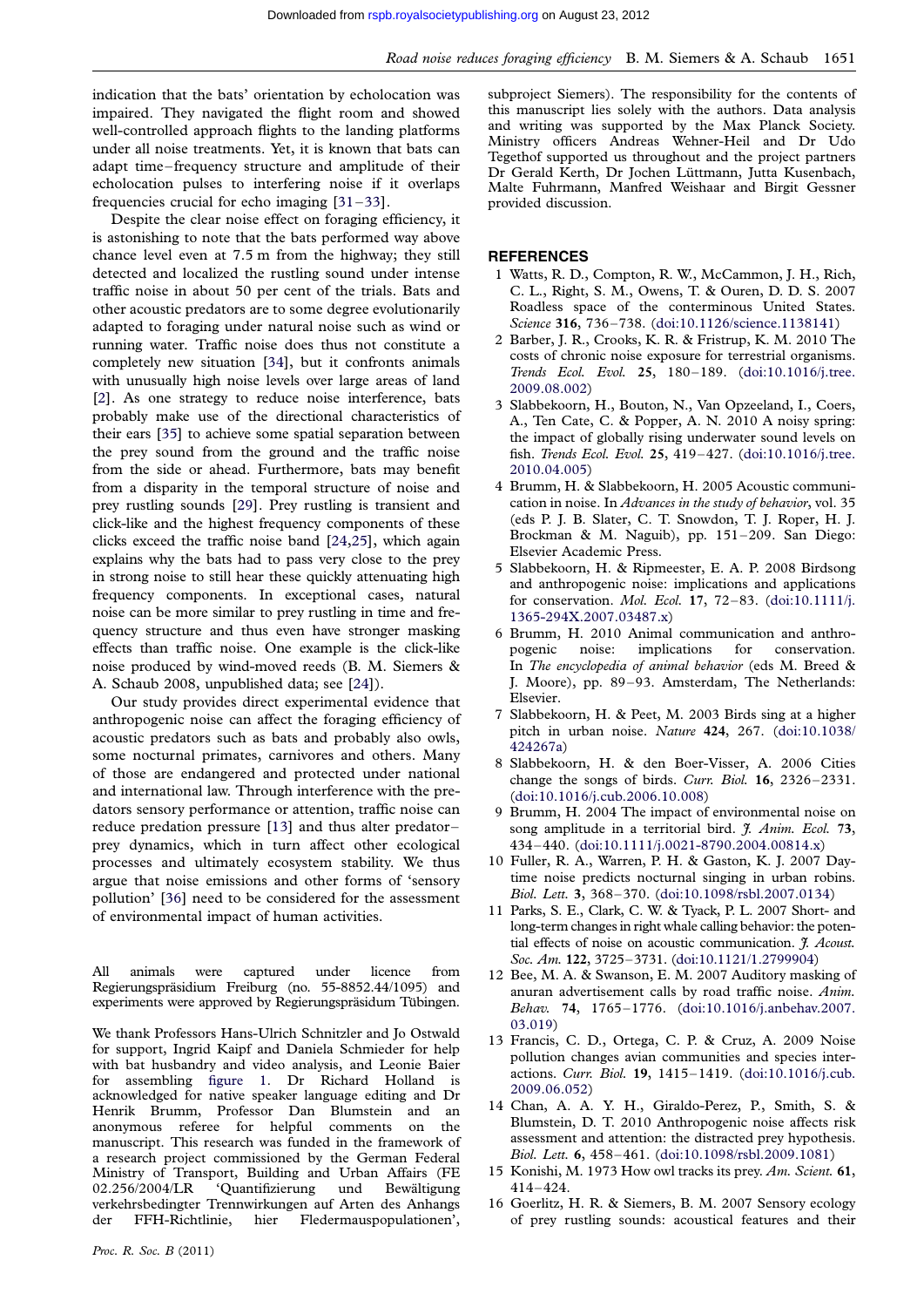<span id="page-6-0"></span>indication that the bats' orientation by echolocation was impaired. They navigated the flight room and showed well-controlled approach flights to the landing platforms under all noise treatments. Yet, it is known that bats can adapt time – frequency structure and amplitude of their echolocation pulses to interfering noise if it overlaps frequencies crucial for echo imaging [[31](#page-7-0)–[33](#page-7-0)].

Despite the clear noise effect on foraging efficiency, it is astonishing to note that the bats performed way above chance level even at 7.5 m from the highway; they still detected and localized the rustling sound under intense traffic noise in about 50 per cent of the trials. Bats and other acoustic predators are to some degree evolutionarily adapted to foraging under natural noise such as wind or running water. Traffic noise does thus not constitute a completely new situation [[34\]](#page-7-0), but it confronts animals with unusually high noise levels over large areas of land [2]. As one strategy to reduce noise interference, bats probably make use of the directional characteristics of their ears [\[35](#page-7-0)] to achieve some spatial separation between the prey sound from the ground and the traffic noise from the side or ahead. Furthermore, bats may benefit from a disparity in the temporal structure of noise and prey rustling sounds [[29\]](#page-7-0). Prey rustling is transient and click-like and the highest frequency components of these clicks exceed the traffic noise band [[24,25\]](#page-7-0), which again explains why the bats had to pass very close to the prey in strong noise to still hear these quickly attenuating high frequency components. In exceptional cases, natural noise can be more similar to prey rustling in time and frequency structure and thus even have stronger masking effects than traffic noise. One example is the click-like noise produced by wind-moved reeds (B. M. Siemers & A. Schaub 2008, unpublished data; see [[24\]](#page-7-0)).

Our study provides direct experimental evidence that anthropogenic noise can affect the foraging efficiency of acoustic predators such as bats and probably also owls, some nocturnal primates, carnivores and others. Many of those are endangered and protected under national and international law. Through interference with the predators sensory performance or attention, traffic noise can reduce predation pressure [13] and thus alter predator – prey dynamics, which in turn affect other ecological processes and ultimately ecosystem stability. We thus argue that noise emissions and other forms of 'sensory pollution' [[36](#page-7-0)] need to be considered for the assessment of environmental impact of human activities.

All animals were captured under licence from Regierungspräsidium Freiburg (no. 55-8852.44/1095) and experiments were approved by Regierungspräsidum Tübingen.

We thank Professors Hans-Ulrich Schnitzler and Io Ostwald for support, Ingrid Kaipf and Daniela Schmieder for help with bat husbandry and video analysis, and Leonie Baier for assembling [figure 1](#page-2-0). Dr Richard Holland is acknowledged for native speaker language editing and Dr Henrik Brumm, Professor Dan Blumstein and an anonymous referee for helpful comments on the manuscript. This research was funded in the framework of a research project commissioned by the German Federal Ministry of Transport, Building and Urban Affairs (FE 02.256/2004/LR 'Quantifizierung und Bewältigung verkehrsbedingter Trennwirkungen auf Arten des Anhangs der FFH-Richtlinie, hier Fledermauspopulationen',

subproject Siemers). The responsibility for the contents of this manuscript lies solely with the authors. Data analysis and writing was supported by the Max Planck Society. Ministry officers Andreas Wehner-Heil and Dr Udo Tegethof supported us throughout and the project partners Dr Gerald Kerth, Dr Jochen Lüttmann, Jutta Kusenbach, Malte Fuhrmann, Manfred Weishaar and Birgit Gessner provided discussion.

## REFERENCES

- 1 Watts, R. D., Compton, R. W., McCammon, J. H., Rich, C. L., Right, S. M., Owens, T. & Ouren, D. D. S. 2007 Roadless space of the conterminous United States. Science 316, 736–738. ([doi:10.1126/science.1138141](http://dx.doi.org/doi:10.1126/science.1138141))
- 2 Barber, J. R., Crooks, K. R. & Fristrup, K. M. 2010 The costs of chronic noise exposure for terrestrial organisms. Trends Ecol. Evol. 25, 180-189. [\(doi:10.1016/j.tree.](http://dx.doi.org/doi:10.1016/j.tree.2009.08.002) [2009.08.002](http://dx.doi.org/doi:10.1016/j.tree.2009.08.002))
- 3 Slabbekoorn, H., Bouton, N., Van Opzeeland, I., Coers, A., Ten Cate, C. & Popper, A. N. 2010 A noisy spring: the impact of globally rising underwater sound levels on fish. Trends Ecol. Evol. 25, 419–427. [\(doi:10.1016/j.tree.](http://dx.doi.org/doi:10.1016/j.tree.2010.04.005) [2010.04.005](http://dx.doi.org/doi:10.1016/j.tree.2010.04.005))
- 4 Brumm, H. & Slabbekoorn, H. 2005 Acoustic communication in noise. In Advances in the study of behavior, vol. 35 (eds P. J. B. Slater, C. T. Snowdon, T. J. Roper, H. J. Brockman & M. Naguib), pp. 151-209. San Diego: Elsevier Academic Press.
- 5 Slabbekoorn, H. & Ripmeester, E. A. P. 2008 Birdsong and anthropogenic noise: implications and applications for conservation. Mol. Ecol. 17, 72–83. ([doi:10.1111/j.](http://dx.doi.org/doi:10.1111/j.1365-294X.2007.03487.x) [1365-294X.2007.03487.x\)](http://dx.doi.org/doi:10.1111/j.1365-294X.2007.03487.x)
- 6 Brumm, H. 2010 Animal communication and anthropogenic noise: implications for conservation. In The encyclopedia of animal behavior (eds M. Breed & J. Moore), pp. 89–93. Amsterdam, The Netherlands: Elsevier.
- 7 Slabbekoorn, H. & Peet, M. 2003 Birds sing at a higher pitch in urban noise. Nature 424, 267. ([doi:10.1038/](http://dx.doi.org/doi:10.1038/424267a) [424267a\)](http://dx.doi.org/doi:10.1038/424267a)
- 8 Slabbekoorn, H. & den Boer-Visser, A. 2006 Cities change the songs of birds. Curr. Biol. 16, 2326-2331. ([doi:10.1016/j.cub.2006.10.008\)](http://dx.doi.org/doi:10.1016/j.cub.2006.10.008)
- 9 Brumm, H. 2004 The impact of environmental noise on song amplitude in a territorial bird. J. Anim. Ecol. 73, 434 –440. ([doi:10.1111/j.0021-8790.2004.00814.x\)](http://dx.doi.org/doi:10.1111/j.0021-8790.2004.00814.x)
- 10 Fuller, R. A., Warren, P. H. & Gaston, K. J. 2007 Daytime noise predicts nocturnal singing in urban robins. Biol. Lett. 3, 368–370. [\(doi:10.1098/rsbl.2007.0134\)](http://dx.doi.org/doi:10.1098/rsbl.2007.0134)
- 11 Parks, S. E., Clark, C. W. & Tyack, P. L. 2007 Short- and long-term changes in right whale calling behavior: the potential effects of noise on acoustic communication. J. Acoust. Soc. Am. 122, 3725–3731. ([doi:10.1121/1.2799904\)](http://dx.doi.org/doi:10.1121/1.2799904)
- 12 Bee, M. A. & Swanson, E. M. 2007 Auditory masking of anuran advertisement calls by road traffic noise. Anim. Behav. 74, 1765–1776. ([doi:10.1016/j.anbehav.2007.](http://dx.doi.org/doi:10.1016/j.anbehav.2007.03.019) [03.019](http://dx.doi.org/doi:10.1016/j.anbehav.2007.03.019))
- 13 Francis, C. D., Ortega, C. P. & Cruz, A. 2009 Noise pollution changes avian communities and species interactions. Curr. Biol. 19, 1415–1419. ([doi:10.1016/j.cub.](http://dx.doi.org/doi:10.1016/j.cub.2009.06.052) [2009.06.052\)](http://dx.doi.org/doi:10.1016/j.cub.2009.06.052)
- 14 Chan, A. A. Y. H., Giraldo-Perez, P., Smith, S. & Blumstein, D. T. 2010 Anthropogenic noise affects risk assessment and attention: the distracted prey hypothesis. Biol. Lett. 6, 458–461. [\(doi:10.1098/rsbl.2009.1081\)](http://dx.doi.org/doi:10.1098/rsbl.2009.1081)
- 15 Konishi, M. 1973 How owl tracks its prey. Am. Scient. 61, 414 –424.
- 16 Goerlitz, H. R. & Siemers, B. M. 2007 Sensory ecology of prey rustling sounds: acoustical features and their